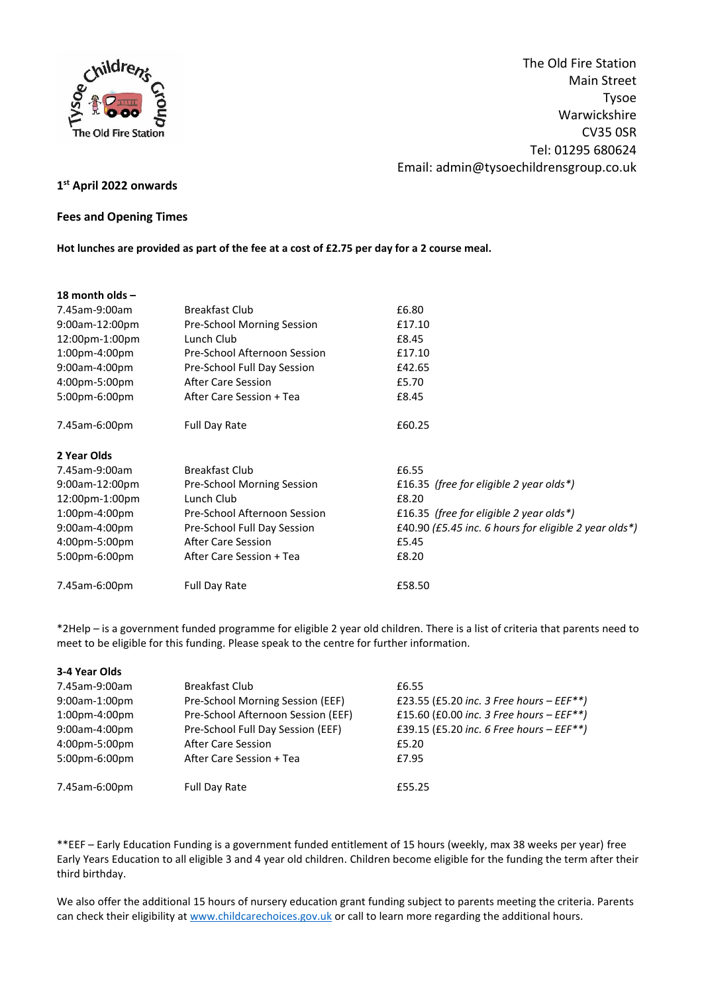

The Old Fire Station Main Street Tysoe Warwickshire CV35 0SR Tel: 01295 680624 Email: admin@tysoechildrensgroup.co.uk

# **1 st April 2022 onwards**

### **Fees and Opening Times**

**Hot lunches are provided as part of the fee at a cost of £2.75 per day for a 2 course meal.**

| 18 month olds $-$ |                              |                                                       |
|-------------------|------------------------------|-------------------------------------------------------|
| 7.45am-9:00am     | <b>Breakfast Club</b>        | £6.80                                                 |
| 9:00am-12:00pm    | Pre-School Morning Session   | £17.10                                                |
| 12:00pm-1:00pm    | Lunch Club                   | £8.45                                                 |
| $1:00$ pm-4:00pm  | Pre-School Afternoon Session | £17.10                                                |
| 9:00am-4:00pm     | Pre-School Full Day Session  | £42.65                                                |
| 4:00pm-5:00pm     | <b>After Care Session</b>    | £5.70                                                 |
| 5:00pm-6:00pm     | After Care Session + Tea     | £8.45                                                 |
| 7.45am-6:00pm     | <b>Full Day Rate</b>         | £60.25                                                |
| 2 Year Olds       |                              |                                                       |
| 7.45am-9:00am     | <b>Breakfast Club</b>        | £6.55                                                 |
| 9:00am-12:00pm    | Pre-School Morning Session   | £16.35 (free for eligible 2 year olds*)               |
| 12:00pm-1:00pm    | Lunch Club                   | £8.20                                                 |
| 1:00pm-4:00pm     | Pre-School Afternoon Session | £16.35 (free for eligible 2 year olds*)               |
| 9:00am-4:00pm     | Pre-School Full Day Session  | £40.90 (£5.45 inc. 6 hours for eligible 2 year olds*) |
| 4:00pm-5:00pm     | <b>After Care Session</b>    | £5.45                                                 |
| 5:00pm-6:00pm     | After Care Session + Tea     | £8.20                                                 |
| 7.45am-6:00pm     | <b>Full Day Rate</b>         | £58.50                                                |

\*2Help – is a government funded programme for eligible 2 year old children. There is a list of criteria that parents need to meet to be eligible for this funding. Please speak to the centre for further information.

### **3-4 Year Olds**

| 7.45am-9:00am | <b>Breakfast Club</b>              | £6.55                                       |
|---------------|------------------------------------|---------------------------------------------|
| 9:00am-1:00pm | Pre-School Morning Session (EEF)   | £23.55 (£5.20 inc. 3 Free hours – $EEF**$ ) |
| 1:00pm-4:00pm | Pre-School Afternoon Session (EEF) | £15.60 (£0.00 inc. 3 Free hours $-EEF**$ )  |
| 9:00am-4:00pm | Pre-School Full Day Session (EEF)  | £39.15 (£5.20 inc. 6 Free hours - $EEF**$ ) |
| 4:00pm-5:00pm | After Care Session                 | £5.20                                       |
| 5:00pm-6:00pm | After Care Session + Tea           | £7.95                                       |
| 7.45am-6:00pm | <b>Full Day Rate</b>               | £55.25                                      |

\*\*EEF – Early Education Funding is a government funded entitlement of 15 hours (weekly, max 38 weeks per year) free Early Years Education to all eligible 3 and 4 year old children. Children become eligible for the funding the term after their third birthday.

We also offer the additional 15 hours of nursery education grant funding subject to parents meeting the criteria. Parents can check their eligibility at [www.childcarechoices.gov.uk](http://www.childcarechoices.gov.uk/) or call to learn more regarding the additional hours.